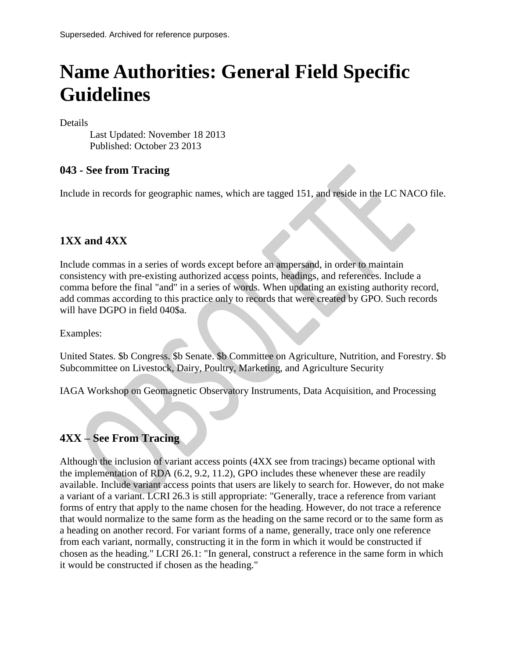# **Name Authorities: General Field Specific Guidelines**

Details

Last Updated: November 18 2013 Published: October 23 2013

### **043 - See from Tracing**

Include in records for geographic names, which are tagged 151, and reside in the LC NACO file.

## **1XX and 4XX**

Include commas in a series of words except before an ampersand, in order to maintain consistency with pre-existing authorized access points, headings, and references. Include a comma before the final "and" in a series of words. When updating an existing authority record, add commas according to this practice only to records that were created by GPO. Such records will have DGPO in field 040\$a.

Examples:

United States. \$b Congress. \$b Senate. \$b Committee on Agriculture, Nutrition, and Forestry. \$b Subcommittee on Livestock, Dairy, Poultry, Marketing, and Agriculture Security

IAGA Workshop on Geomagnetic Observatory Instruments, Data Acquisition, and Processing

# **4XX – See From Tracing**

Although the inclusion of variant access points (4XX see from tracings) became optional with the implementation of RDA (6.2, 9.2, 11.2), GPO includes these whenever these are readily available. Include variant access points that users are likely to search for. However, do not make a variant of a variant. LCRI 26.3 is still appropriate: "Generally, trace a reference from variant forms of entry that apply to the name chosen for the heading. However, do not trace a reference that would normalize to the same form as the heading on the same record or to the same form as a heading on another record. For variant forms of a name, generally, trace only one reference from each variant, normally, constructing it in the form in which it would be constructed if chosen as the heading." LCRI 26.1: "In general, construct a reference in the same form in which it would be constructed if chosen as the heading."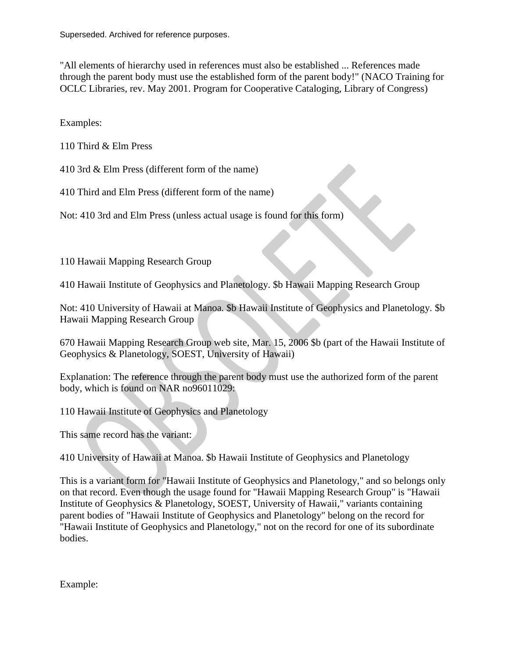"All elements of hierarchy used in references must also be established ... References made through the parent body must use the established form of the parent body!" (NACO Training for OCLC Libraries, rev. May 2001. Program for Cooperative Cataloging, Library of Congress)

Examples:

110 Third & Elm Press

410 3rd & Elm Press (different form of the name)

410 Third and Elm Press (different form of the name)

Not: 410 3rd and Elm Press (unless actual usage is found for this form)

110 Hawaii Mapping Research Group

410 Hawaii Institute of Geophysics and Planetology. \$b Hawaii Mapping Research Group

Not: 410 University of Hawaii at Manoa. \$b Hawaii Institute of Geophysics and Planetology. \$b Hawaii Mapping Research Group

670 Hawaii Mapping Research Group web site, Mar. 15, 2006 \$b (part of the Hawaii Institute of Geophysics & Planetology, SOEST, University of Hawaii)

Explanation: The reference through the parent body must use the authorized form of the parent body, which is found on NAR no96011029:

110 Hawaii Institute of Geophysics and Planetology

This same record has the variant:

410 University of Hawaii at Manoa. \$b Hawaii Institute of Geophysics and Planetology

This is a variant form for "Hawaii Institute of Geophysics and Planetology," and so belongs only on that record. Even though the usage found for "Hawaii Mapping Research Group" is "Hawaii Institute of Geophysics  $\&$  Planetology, SOEST, University of Hawaii," variants containing parent bodies of "Hawaii Institute of Geophysics and Planetology" belong on the record for "Hawaii Institute of Geophysics and Planetology," not on the record for one of its subordinate bodies.

Example: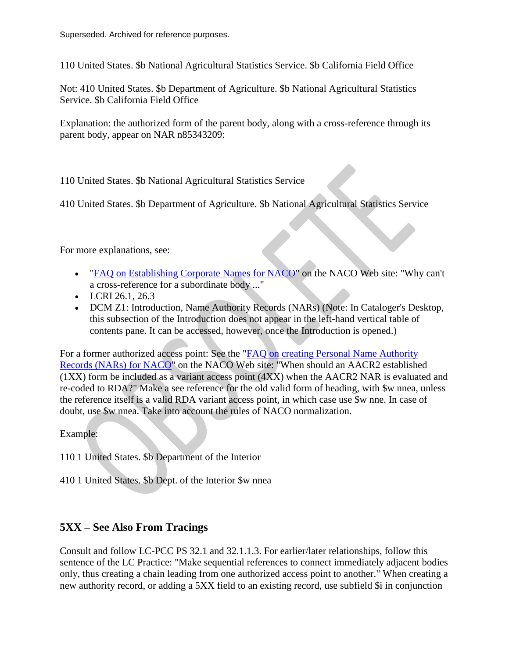110 United States. \$b National Agricultural Statistics Service. \$b California Field Office

Not: 410 United States. \$b Department of Agriculture. \$b National Agricultural Statistics Service. \$b California Field Office

Explanation: the authorized form of the parent body, along with a cross-reference through its parent body, appear on NAR n85343209:

110 United States. \$b National Agricultural Statistics Service

410 United States. \$b Department of Agriculture. \$b National Agricultural Statistics Service

For more explanations, see:

- ["FAQ on Establishing Corporate Names for NACO"](http://www.loc.gov/aba/pcc/naco/corpfaq.html) on the NACO Web site: "Why can't a cross-reference for a subordinate body ..."
- LCRI 26.1, 26.3
- DCM Z1: Introduction, Name Authority Records (NARs) (Note: In Cataloger's Desktop, this subsection of the Introduction does not appear in the left-hand vertical table of contents pane. It can be accessed, however, once the Introduction is opened.)

For a former authorized access point: See the ["FAQ on creating Personal Name Authority](http://www.loc.gov/aba/pcc/naco/personnamefaq.html)  [Records \(NARs\) for NACO"](http://www.loc.gov/aba/pcc/naco/personnamefaq.html) on the NACO Web site: "When should an AACR2 established (1XX) form be included as a variant access point (4XX) when the AACR2 NAR is evaluated and re-coded to RDA?" Make a see reference for the old valid form of heading, with \$w nnea, unless the reference itself is a valid RDA variant access point, in which case use \$w nne. In case of doubt, use \$w nnea. Take into account the rules of NACO normalization.

Example:

110 1 United States. \$b Department of the Interior

410 1 United States. \$b Dept. of the Interior \$w nnea

#### **5XX – See Also From Tracings**

Consult and follow LC-PCC PS 32.1 and 32.1.1.3. For earlier/later relationships, follow this sentence of the LC Practice: "Make sequential references to connect immediately adjacent bodies only, thus creating a chain leading from one authorized access point to another." When creating a new authority record, or adding a 5XX field to an existing record, use subfield \$i in conjunction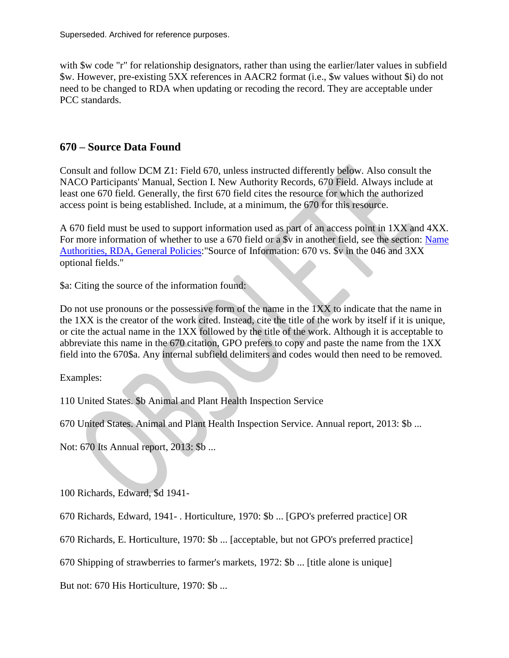with  $\mathcal{S}_{\mathbf{w}}$  code "r" for relationship designators, rather than using the earlier/later values in subfield \$w. However, pre-existing 5XX references in AACR2 format (i.e., \$w values without \$i) do not need to be changed to RDA when updating or recoding the record. They are acceptable under PCC standards.

#### **670 – Source Data Found**

Consult and follow DCM Z1: Field 670, unless instructed differently below. Also consult the NACO Participants' Manual, Section I. New Authority Records, 670 Field. Always include at least one 670 field. Generally, the first 670 field cites the resource for which the authorized access point is being established. Include, at a minimum, the 670 for this resource.

A 670 field must be used to support information used as part of an access point in 1XX and 4XX. For more information of whether to use a 670 field or a \$v in another field, see the section: Name [Authorities, RDA, General Policies:](http://www.fdlp.gov/2013-09-18-15-18-03/link-item/1759-name-authorities-rda-general-policies)"Source of Information: 670 vs. \$v in the 046 and 3XX optional fields."

\$a: Citing the source of the information found:

Do not use pronouns or the possessive form of the name in the 1XX to indicate that the name in the 1XX is the creator of the work cited. Instead, cite the title of the work by itself if it is unique, or cite the actual name in the 1XX followed by the title of the work. Although it is acceptable to abbreviate this name in the 670 citation, GPO prefers to copy and paste the name from the 1XX field into the 670\$a. Any internal subfield delimiters and codes would then need to be removed.

Examples:

110 United States. \$b Animal and Plant Health Inspection Service

670 United States. Animal and Plant Health Inspection Service. Annual report, 2013: \$b ...

Not: 670 Its Annual report, 2013: \$b ...

100 Richards, Edward, \$d 1941-

670 Richards, Edward, 1941- . Horticulture, 1970: \$b ... [GPO's preferred practice] OR

670 Richards, E. Horticulture, 1970: \$b ... [acceptable, but not GPO's preferred practice]

670 Shipping of strawberries to farmer's markets, 1972: \$b ... [title alone is unique]

But not: 670 His Horticulture, 1970: \$b ...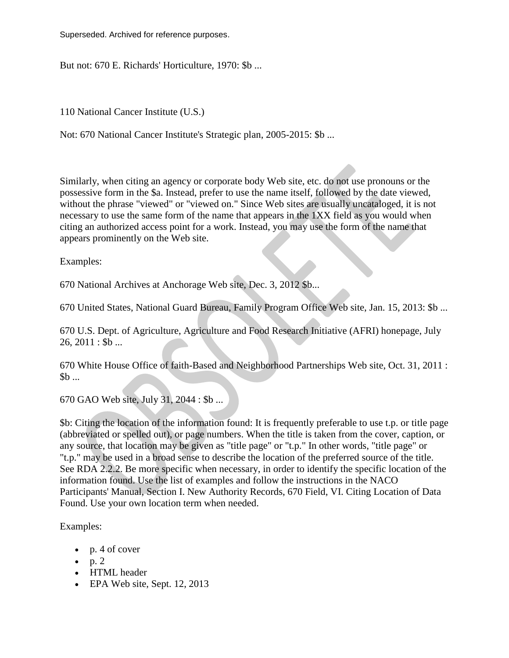But not: 670 E. Richards' Horticulture, 1970: \$b ...

110 National Cancer Institute (U.S.)

Not: 670 National Cancer Institute's Strategic plan, 2005-2015: \$b ...

Similarly, when citing an agency or corporate body Web site, etc. do not use pronouns or the possessive form in the \$a. Instead, prefer to use the name itself, followed by the date viewed, without the phrase "viewed" or "viewed on." Since Web sites are usually uncataloged, it is not necessary to use the same form of the name that appears in the 1XX field as you would when citing an authorized access point for a work. Instead, you may use the form of the name that appears prominently on the Web site.

Examples:

670 National Archives at Anchorage Web site, Dec. 3, 2012 \$b...

670 United States, National Guard Bureau, Family Program Office Web site, Jan. 15, 2013: \$b ...

670 U.S. Dept. of Agriculture, Agriculture and Food Research Initiative (AFRI) honepage, July  $26, 2011 :$ \$b ...

670 White House Office of faith-Based and Neighborhood Partnerships Web site, Oct. 31, 2011 :  $$b \dots$ 

670 GAO Web site, July 31, 2044 : \$b ...

\$b: Citing the location of the information found: It is frequently preferable to use t.p. or title page (abbreviated or spelled out), or page numbers. When the title is taken from the cover, caption, or any source, that location may be given as "title page" or "t.p." In other words, "title page" or "t.p." may be used in a broad sense to describe the location of the preferred source of the title. See RDA 2.2.2. Be more specific when necessary, in order to identify the specific location of the information found. Use the list of examples and follow the instructions in the NACO Participants' Manual, Section I. New Authority Records, 670 Field, VI. Citing Location of Data Found. Use your own location term when needed.

Examples:

- $\bullet$  p. 4 of cover
- $\bullet$  p. 2
- HTML header
- EPA Web site, Sept. 12, 2013